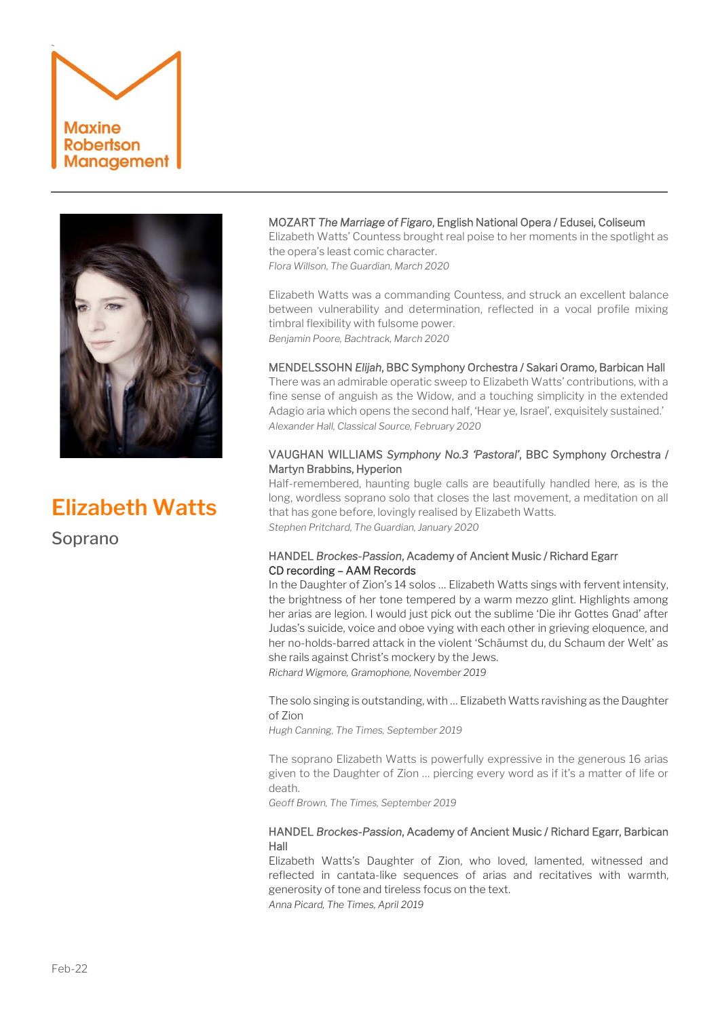



# **Elizabeth Watts**

Soprano

# MOZART *The Marriage of Figaro*, English National Opera / Edusei, Coliseum

Elizabeth Watts' Countess brought real poise to her moments in the spotlight as the opera's least comic character.

*Flora Willson, The Guardian, March 2020*

Elizabeth Watts was a commanding Countess, and struck an excellent balance between vulnerability and determination, reflected in a vocal profile mixing timbral flexibility with fulsome power. *Benjamin Poore, Bachtrack, March 2020*

# MENDELSSOHN *Elijah*, BBC Symphony Orchestra / Sakari Oramo, Barbican Hall

There was an admirable operatic sweep to Elizabeth Watts' contributions, with a fine sense of anguish as the Widow, and a touching simplicity in the extended Adagio aria which opens the second half, 'Hear ye, Israel', exquisitely sustained.' *Alexander Hall, Classical Source, February 2020*

## VAUGHAN WILLIAMS *Symphony No.3 'Pastoral'*, BBC Symphony Orchestra / Martyn Brabbins, Hyperion

Half-remembered, haunting bugle calls are beautifully handled here, as is the long, wordless soprano solo that closes the last movement, a meditation on all that has gone before, lovingly realised by Elizabeth Watts. *Stephen Pritchard, The Guardian, January 2020*

# HANDEL *Brockes-Passion*, Academy of Ancient Music / Richard Egarr CD recording – AAM Records

In the Daughter of Zion's 14 solos … Elizabeth Watts sings with fervent intensity, the brightness of her tone tempered by a warm mezzo glint. Highlights among her arias are legion. I would just pick out the sublime 'Die ihr Gottes Gnad' after Judas's suicide, voice and oboe vying with each other in grieving eloquence, and her no-holds-barred attack in the violent 'Schäumst du, du Schaum der Welt' as she rails against Christ's mockery by the Jews. *Richard Wigmore, Gramophone, November 2019*

The solo singing is outstanding, with … Elizabeth Watts ravishing as the Daughter of Zion

*Hugh Canning, The Times, September 2019*

The soprano Elizabeth Watts is powerfully expressive in the generous 16 arias given to the Daughter of Zion … piercing every word as if it's a matter of life or death.

*Geoff Brown, The Times, September 2019*

# HANDEL *Brockes-Passion*, Academy of Ancient Music / Richard Egarr, Barbican Hall

Elizabeth Watts's Daughter of Zion, who loved, lamented, witnessed and reflected in cantata-like sequences of arias and recitatives with warmth, generosity of tone and tireless focus on the text. *Anna Picard, The Times, April 2019*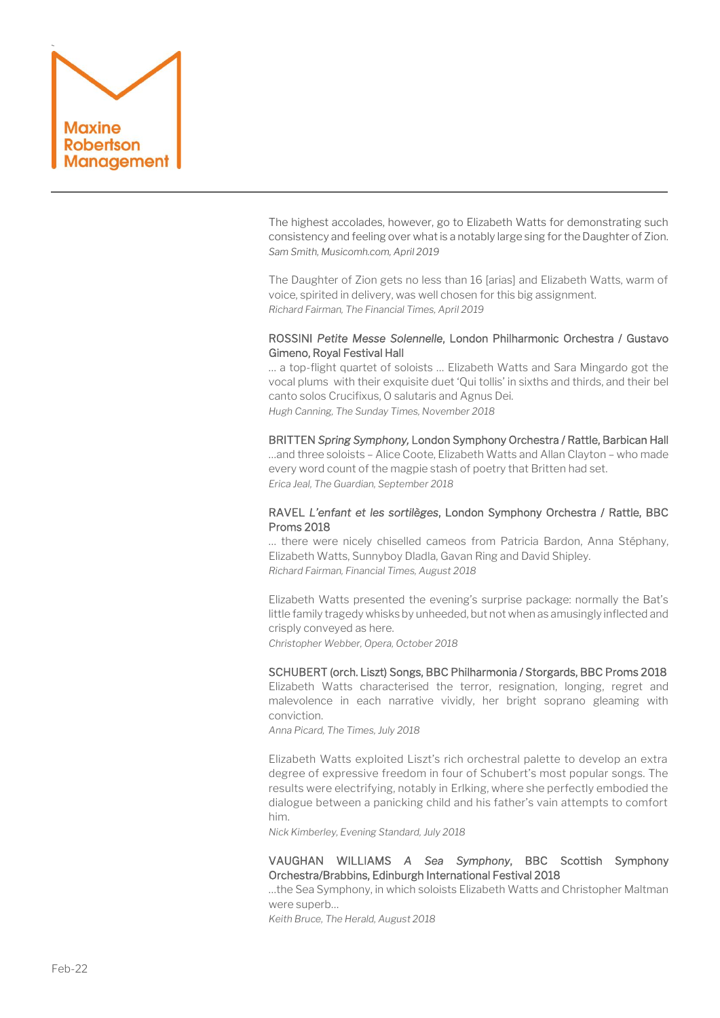

The highest accolades, however, go to Elizabeth Watts for demonstrating such consistency and feeling over what is a notably large sing for the Daughter of Zion. *Sam Smith, Musicomh.com, April 2019* 

The Daughter of Zion gets no less than 16 [arias] and Elizabeth Watts, warm of voice, spirited in delivery, was well chosen for this big assignment. *Richard Fairman, The Financial Times, April 2019*

#### ROSSINI *Petite Messe Solennelle*, London Philharmonic Orchestra / Gustavo Gimeno, Royal Festival Hall

… a top-flight quartet of soloists … Elizabeth Watts and Sara Mingardo got the vocal plums with their exquisite duet 'Qui tollis' in sixths and thirds, and their bel canto solos Crucifixus, O salutaris and Agnus Dei. *Hugh Canning, The Sunday Times, November 2018*

#### BRITTEN *Spring Symphony,* London Symphony Orchestra / Rattle, Barbican Hall

…and three soloists – Alice Coote, Elizabeth Watts an[d Allan Clayton](https://www.google.com/url?q=https://www.theguardian.com/music/2016/feb/01/facing-the-music-allan-clayton-tenor&sa=U&ved=0ahUKEwiF7_-c08HdAhWQzYUKHS7MCDcQFggFMAA&client=internal-uds-cse&cx=007466294097402385199:m2ealvuxh1i&usg=AOvVaw2mjuOwpzxp22dbrhLRCIX4) – who made every word count of the magpie stash of poetry that Britten had set. *Erica Jeal, The Guardian, September 2018*

## RAVEL *L'enfant et les sortilèges*, London Symphony Orchestra / Rattle, BBC Proms 2018

… there were nicely chiselled cameos from Patricia Bardon, Anna Stéphany, Elizabeth Watts, Sunnyboy Dladla, Gavan Ring and David Shipley. *Richard Fairman, Financial Times, August 2018*

Elizabeth Watts presented the evening's surprise package: normally the Bat's little family tragedy whisks by unheeded, but not when as amusingly inflected and crisply conveyed as here.

*Christopher Webber, Opera, October 2018*

## SCHUBERT (orch. Liszt) Songs, BBC Philharmonia / Storgards, BBC Proms 2018

Elizabeth Watts characterised the terror, resignation, longing, regret and malevolence in each narrative vividly, her bright soprano gleaming with conviction.

*Anna Picard, The Times, July 2018*

Elizabeth Watts exploited Liszt's rich orchestral palette to develop an extra degree of expressive freedom in four of Schubert's most popular songs. The results were electrifying, notably in Erlking, where she perfectly embodied the dialogue between a panicking child and his father's vain attempts to comfort him.

*Nick Kimberley, Evening Standard, July 2018*

# VAUGHAN WILLIAMS *A Sea Symphony*, BBC Scottish Symphony Orchestra/Brabbins, Edinburgh International Festival 2018

…the Sea Symphony, in which soloists Elizabeth Watts and Christopher Maltman were superb…

*Keith Bruce, The Herald, August 2018*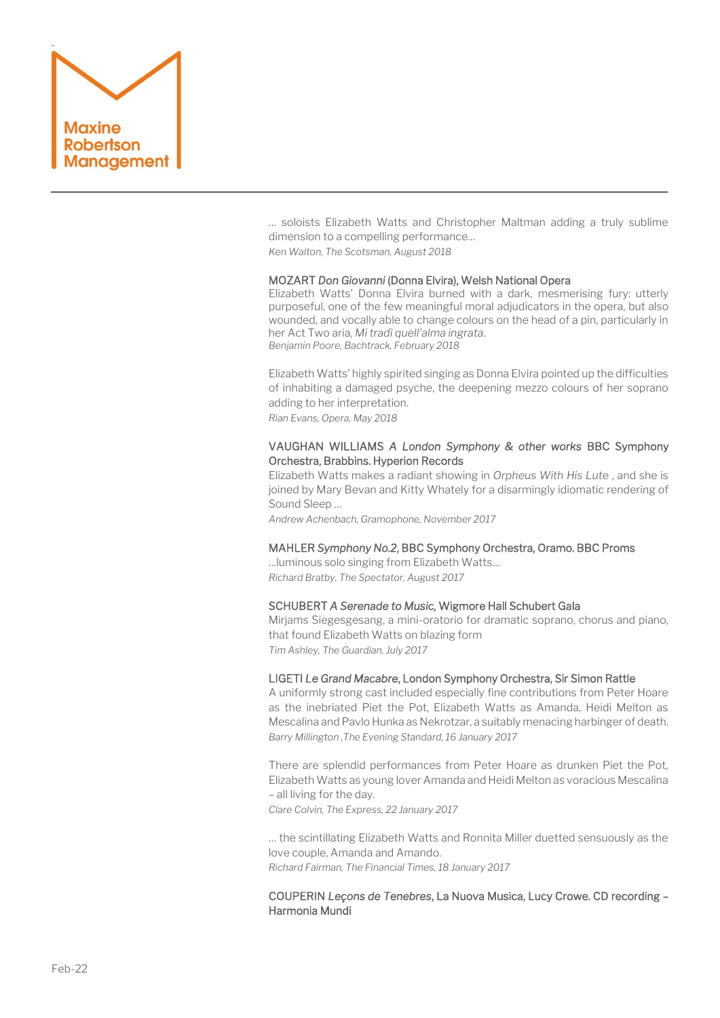

… soloists Elizabeth Watts and Christopher Maltman adding a truly sublime dimension to a compelling performance… *Ken Walton, The Scotsman, August 2018*

#### MOZART *Don Giovanni* (Donna Elvira), Welsh National Opera

Elizabeth Watts' Donna Elvira burned with a dark, mesmerising fury: utterly purposeful, one of the few meaningful moral adjudicators in the opera, but also wounded, and vocally able to change colours on the head of a pin, particularly in her Act Two aria, *Mi tradì quell'alma ingrata*. *Benjamin Poore, Bachtrack, February 2018*

Elizabeth Watts' highly spirited singing as Donna Elvira pointed up the difficulties of inhabiting a damaged psyche, the deepening mezzo colours of her soprano adding to her interpretation.

*Rian Evans, Opera, May 2018*

#### VAUGHAN WILLIAMS *A London Symphony & other works* BBC Symphony Orchestra, Brabbins. Hyperion Records

Elizabeth Watts makes a radiant showing in *Orpheus With His Lute* , and she is joined by Mary Bevan and Kitty Whately for a disarmingly idiomatic rendering of Sound Sleep …

*Andrew Achenbach, Gramophone, November 2017*

#### MAHLER *Symphony No.2*, BBC Symphony Orchestra, Oramo. BBC Proms

…luminous solo singing from Elizabeth Watts… *Richard Bratby, The Spectator, August 2017*

#### SCHUBERT *A Serenade to Music,* Wigmore Hall Schubert Gala

Mirjams Siegesgesang, a mini-oratorio for dramatic soprano, chorus and piano, that found Elizabeth Watts on blazing form *Tim Ashley, The Guardian, July 2017*

#### LIGETI *Le Grand Macabre*, London Symphony Orchestra, Sir Simon Rattle

A uniformly strong cast included especially fine contributions from Peter Hoare as the inebriated Piet the Pot, Elizabeth Watts as Amanda, Heidi Melton as Mescalina and Pavlo Hunka as Nekrotzar, a suitably menacing harbinger of death. *Barry Millington ,The Evening Standard, 16 January 2017*

There are splendid performances from Peter Hoare as drunken Piet the Pot, Elizabeth Watts as young lover Amanda and Heidi Melton as voracious Mescalina – all living for the day.

*Clare Colvin, The Express, 22 January 2017*

… the scintillating Elizabeth Watts and Ronnita Miller duetted sensuously as the love couple, Amanda and Amando. *Richard Fairman, The Financial Times, 18 January 2017*

## COUPERIN *Leçons de Tenebres*, La Nuova Musica, Lucy Crowe. CD recording – Harmonia Mundi